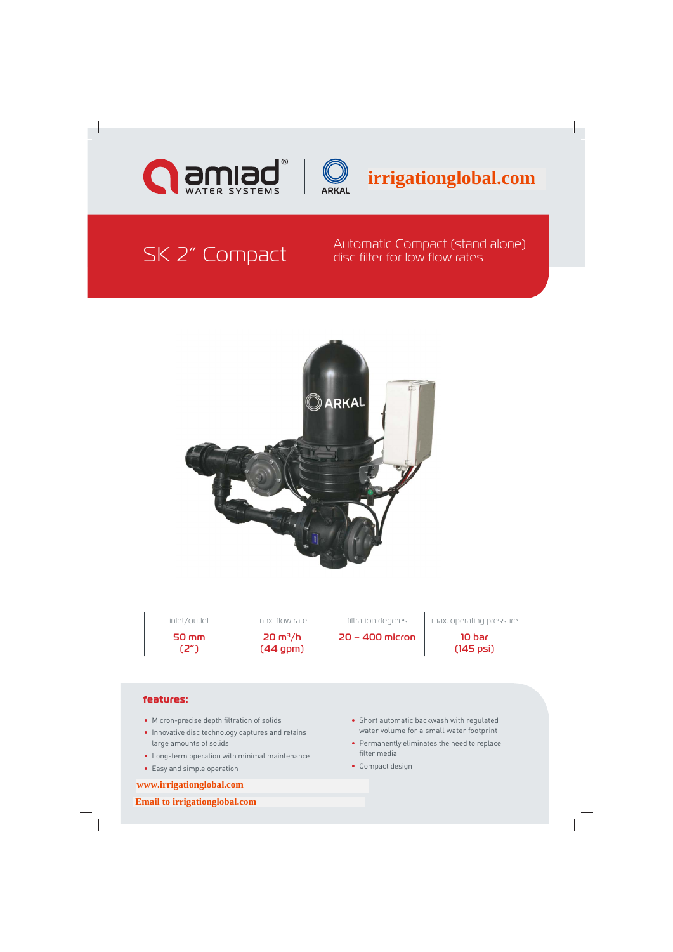



**irrigationglobal.com**

## SK 2" Compact Automatic Compact (stand alone)<br>SK 2" Compact disc filter for low flow rates disc filter for low flow rates



50 mm (2")

 $20 \text{ m}^3/h$ (44 gpm)

20 – 400 micron 10 bar

 $int /$ outlet  $\qquad$  max. flow rate  $\qquad$  filtration degrees  $\qquad$  max. operating pressure

(145 psi)

### **features:**

- Micron-precise depth filtration of solids
- Innovative disc technology captures and retains large amounts of solids
- Long-term operation with minimal maintenance
- Easy and simple operation

### **[www.irrigationglobal.com](http://www.irrigationglobal.com)**

 **[Email to irrigationglobal.com](mailto:service@irrigationglobal.com)**

- Short automatic backwash with regulated water volume for a small water footprint
- Permanently eliminates the need to replace filter media
- Compact design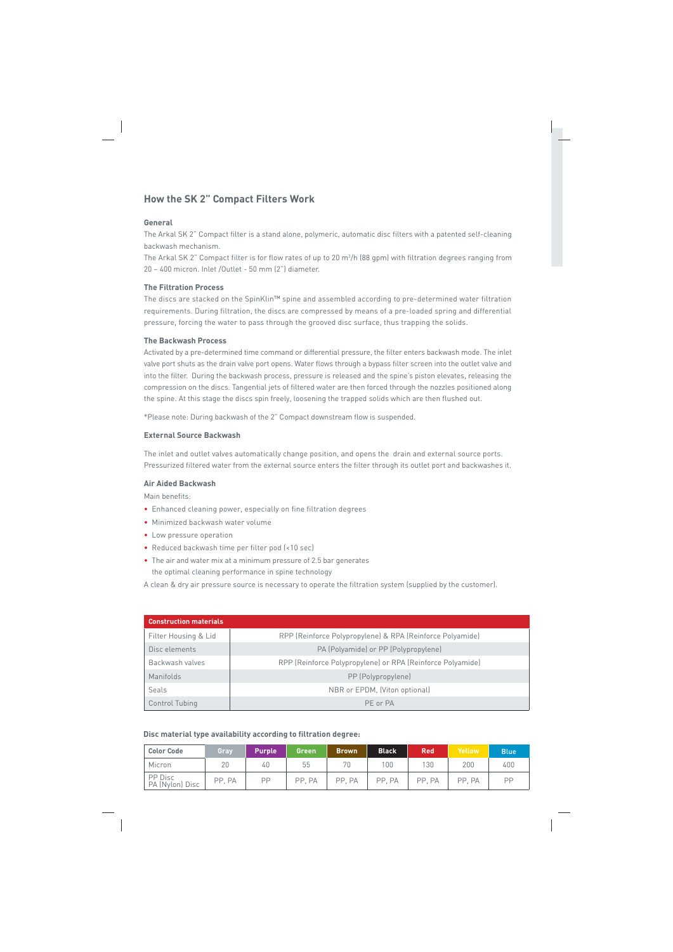## **How the SK 2" Compact Filters Work**

#### **General**

The Arkal SK 2" Compact filter is a stand alone, polymeric, automatic disc filters with a patented self-cleaning backwash mechanism.

The Arkal SK 2" Compact filter is for flow rates of up to 20 m3 /h (88 gpm) with filtration degrees ranging from 20 – 400 micron. Inlet /Outlet - 50 mm (2") diameter.

#### **The Filtration Process**

The discs are stacked on the SpinKlin™ spine and assembled according to pre-determined water filtration requirements. During filtration, the discs are compressed by means of a pre-loaded spring and differential pressure, forcing the water to pass through the grooved disc surface, thus trapping the solids.

#### **The Backwash Process**

Activated by a pre-determined time command or differential pressure, the filter enters backwash mode. The inlet valve port shuts as the drain valve port opens. Water flows through a bypass filter screen into the outlet valve and into the filter. During the backwash process, pressure is released and the spine's piston elevates, releasing the compression on the discs. Tangential jets of filtered water are then forced through the nozzles positioned along the spine. At this stage the discs spin freely, loosening the trapped solids which are then flushed out.

\*Please note: During backwash of the 2" Compact downstream flow is suspended.

#### **External Source Backwash**

The inlet and outlet valves automatically change position, and opens the drain and external source ports. Pressurized filtered water from the external source enters the filter through its outlet port and backwashes it.

#### **Air Aided Backwash**

Main benefits:

- Enhanced cleaning power, especially on fine filtration degrees
- Minimized backwash water volume
- Low pressure operation
- Reduced backwash time per filter pod (<10 sec)
- The air and water mix at a minimum pressure of 2.5 bar generates the optimal cleaning performance in spine technology

A clean & dry air pressure source is necessary to operate the filtration system (supplied by the customer).

| <b>Construction materials</b> |                                                            |
|-------------------------------|------------------------------------------------------------|
| Filter Housing & Lid          | RPP (Reinforce Polypropylene) & RPA (Reinforce Polyamide)  |
| Disc elements                 | PA (Polyamide) or PP (Polypropylene)                       |
| Backwash valves               | RPP (Reinforce Polypropylene) or RPA (Reinforce Polyamide) |
| Manifolds                     | PP (Polypropylene)                                         |
| Seals                         | NBR or EPDM, (Viton optional)                              |
| Control Tubing                | PF or PA                                                   |

#### **Disc material type availability according to filtration degree:**

| <b>Color Code</b>          | Gray   | <b>Purple</b> | <b>Green</b> | <b>Brown</b> | <b>Black</b> | <b>Red</b> | Yellow | <b>Blue</b> |
|----------------------------|--------|---------------|--------------|--------------|--------------|------------|--------|-------------|
| Micron                     | 20     | 40            | 55           | 70           | 100          | 130        | 200    | 400         |
| PP Disc<br>PA (Nylon) Disc | PP, PA | PP            | PP, PA       | PP. PA       | PP. PA       | PP. PA     | PP. PA | PP          |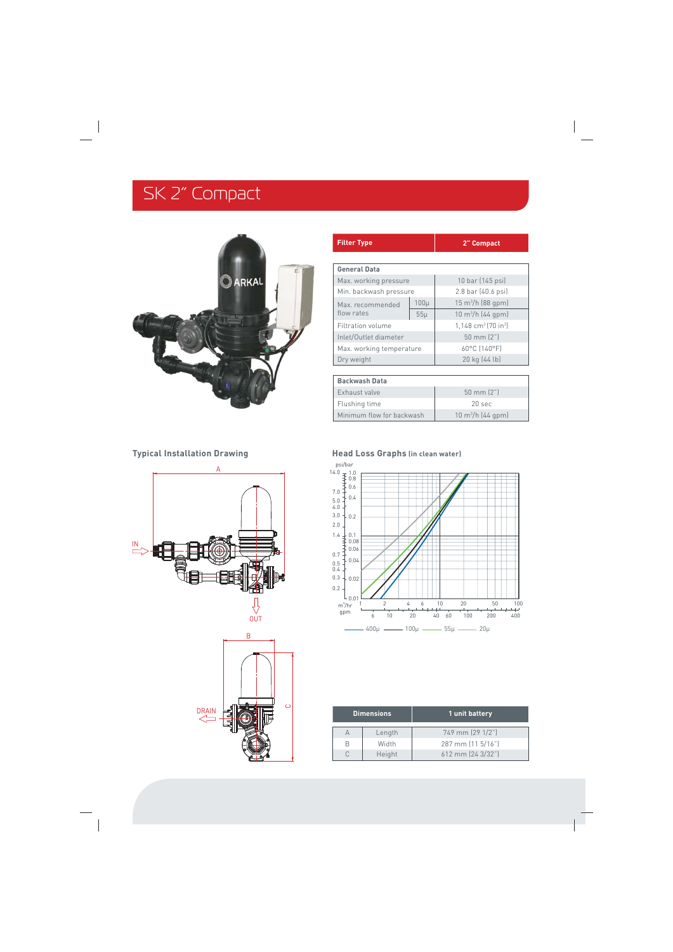# SK 2" Compact



| <b>Filter Type</b>       |          | 2" Compact                                  |  |
|--------------------------|----------|---------------------------------------------|--|
|                          |          |                                             |  |
| <b>General Data</b>      |          |                                             |  |
| Max. working pressure    |          | 10 bar (145 psi)                            |  |
| Min. backwash pressure   |          | 2.8 bar (40.6 psi)                          |  |
| Max. recommended         | $100\mu$ | $15 \text{ m}^3$ /h (88 gpm)                |  |
| flow rates               | $55\mu$  | $10 \text{ m}^3/h$ (44 gpm)                 |  |
| Filtration volume        |          | 1,148 cm <sup>3</sup> (70 in <sup>3</sup> ) |  |
| Inlet/Outlet diameter    |          | $50 \text{ mm} (2")$                        |  |
| Max. working temperature |          | 60°C (140°F)                                |  |
| Dry weight               |          | 20 kg (44 lb)                               |  |
|                          |          |                                             |  |
| <b>Backwash Data</b>     |          |                                             |  |
| Exhaust valve            |          | 50 mm (2")                                  |  |
| Flushing time            |          | 20 sec                                      |  |

10 m<sup>3</sup>/h (44 gpm)





### **Typical Installation Drawing Typical Installation Drawing Head Loss Graphs (in clean water)**

Minimum flow for backwash



| <b>Dimensions</b> |        | 1 unit battery    |
|-------------------|--------|-------------------|
|                   | Length | 749 mm (29 1/2")  |
| R                 | Width  | 287 mm (11 5/16") |
|                   | Height | 612 mm (24 3/32") |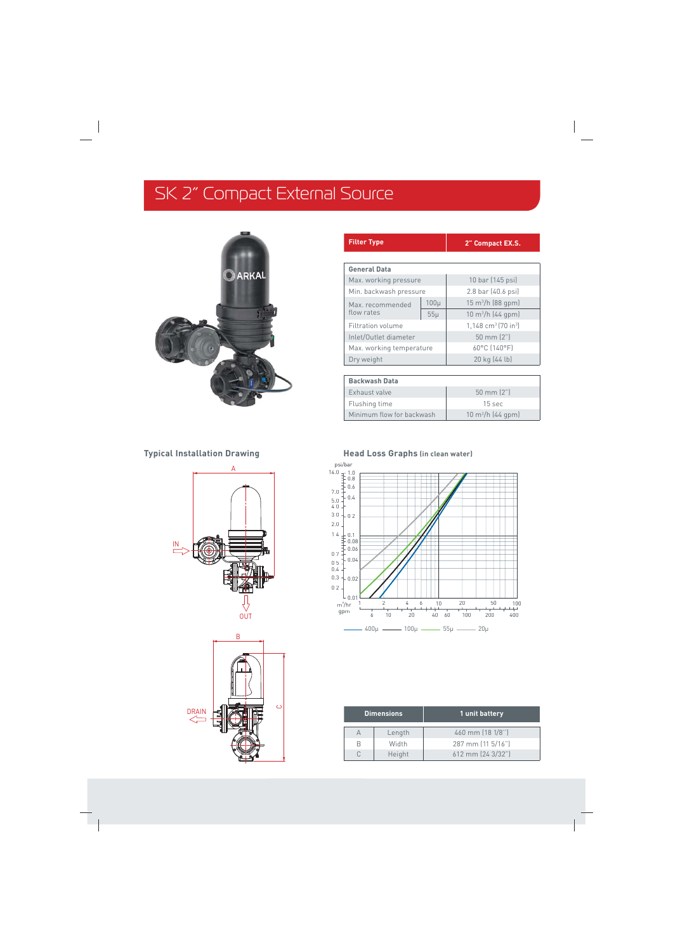# SK 2" Compact External Source



| <b>Filter Type</b>       |                      | 2" Compact EX.S.                              |
|--------------------------|----------------------|-----------------------------------------------|
|                          |                      |                                               |
| <b>General Data</b>      |                      |                                               |
| Max. working pressure    |                      | 10 bar (145 psi)                              |
| Min. backwash pressure   |                      | 2.8 bar (40.6 psi)                            |
| Max. recommended         | $100\mu$             | $15 \text{ m}^3$ /h (88 gpm)                  |
| flow rates               | $55\mu$              | $10 \text{ m}^3/h$ (44 gpm)                   |
| Filtration volume        |                      | $1,148$ cm <sup>3</sup> (70 in <sup>3</sup> ) |
| Inlet/Outlet diameter    | $50 \text{ mm} (2")$ |                                               |
| Max. working temperature |                      | 60°C (140°F)                                  |
| Dry weight               |                      | 20 kg (44 lb)                                 |
|                          |                      |                                               |
| <b>Backwash Data</b>     |                      |                                               |
| Exhaust valve            |                      | $50 \text{ mm} (2")$                          |
| Flushing time            |                      | 15 sec                                        |

 $10 \text{ m}^3/h$  (44 gpm)



**Typical Installation Drawing Typical Installation Drawing Head Loss Graphs (in clean water)** 

Minimum flow for backwash



| <b>Dimensions</b> |        | 1 unit battery    |
|-------------------|--------|-------------------|
|                   | Length | 460 mm (18 1/8")  |
| R                 | Width  | 287 mm (11 5/16") |
|                   | Height | 612 mm (24 3/32") |